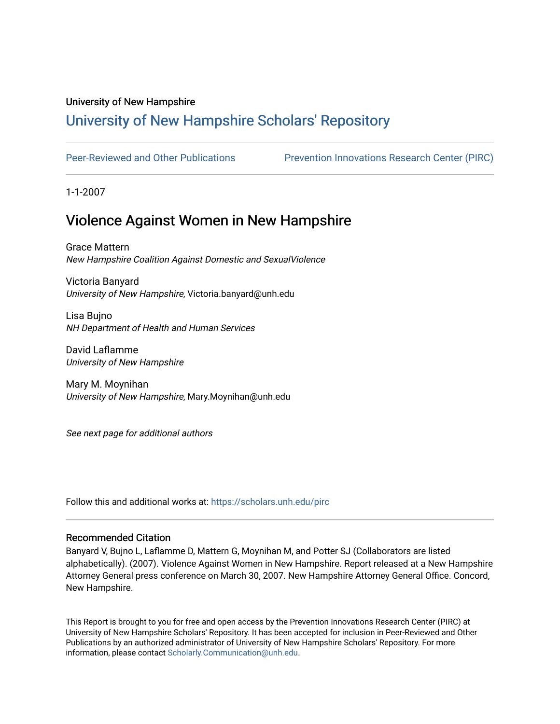#### University of New Hampshire

# [University of New Hampshire Scholars' Repository](https://scholars.unh.edu/)

[Peer-Reviewed and Other Publications](https://scholars.unh.edu/pirc) **Prevention Innovations Research Center (PIRC)** 

1-1-2007

# Violence Against Women in New Hampshire

Grace Mattern New Hampshire Coalition Against Domestic and SexualViolence

Victoria Banyard University of New Hampshire, Victoria.banyard@unh.edu

Lisa Bujno NH Department of Health and Human Services

David Laflamme University of New Hampshire

Mary M. Moynihan University of New Hampshire, Mary.Moynihan@unh.edu

See next page for additional authors

Follow this and additional works at: [https://scholars.unh.edu/pirc](https://scholars.unh.edu/pirc?utm_source=scholars.unh.edu%2Fpirc%2F61&utm_medium=PDF&utm_campaign=PDFCoverPages)

#### Recommended Citation

Banyard V, Bujno L, Laflamme D, Mattern G, Moynihan M, and Potter SJ (Collaborators are listed alphabetically). (2007). Violence Against Women in New Hampshire. Report released at a New Hampshire Attorney General press conference on March 30, 2007. New Hampshire Attorney General Office. Concord, New Hampshire.

This Report is brought to you for free and open access by the Prevention Innovations Research Center (PIRC) at University of New Hampshire Scholars' Repository. It has been accepted for inclusion in Peer-Reviewed and Other Publications by an authorized administrator of University of New Hampshire Scholars' Repository. For more information, please contact [Scholarly.Communication@unh.edu.](mailto:Scholarly.Communication@unh.edu)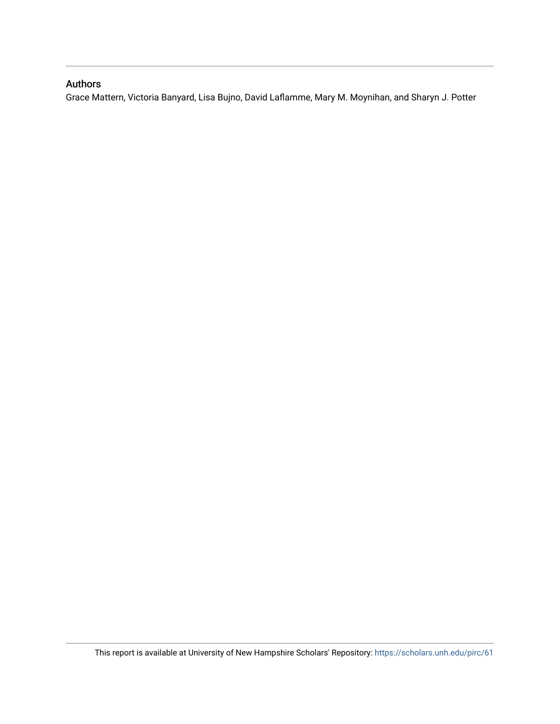## Authors

Grace Mattern, Victoria Banyard, Lisa Bujno, David Laflamme, Mary M. Moynihan, and Sharyn J. Potter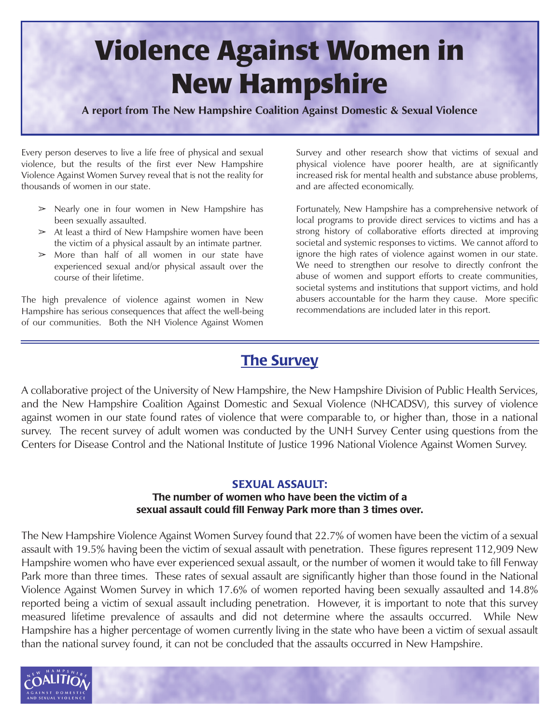# **Violence Against Women in New Hampshire**

**A report from The New Hampshire Coalition Against Domestic & Sexual Violence**

Every person deserves to live a life free of physical and sexual violence, but the results of the first ever New Hampshire Violence Against Women Survey reveal that is not the reality for thousands of women in our state.

- $\geq$  Nearly one in four women in New Hampshire has been sexually assaulted.
- $\geq$  At least a third of New Hampshire women have been the victim of a physical assault by an intimate partner.
- $>$  More than half of all women in our state have experienced sexual and/or physical assault over the course of their lifetime.

The high prevalence of violence against women in New Hampshire has serious consequences that affect the well-being of our communities. Both the NH Violence Against Women Survey and other research show that victims of sexual and physical violence have poorer health, are at significantly increased risk for mental health and substance abuse problems, and are affected economically.

Fortunately, New Hampshire has a comprehensive network of local programs to provide direct services to victims and has a strong history of collaborative efforts directed at improving societal and systemic responses to victims. We cannot afford to ignore the high rates of violence against women in our state. We need to strengthen our resolve to directly confront the abuse of women and support efforts to create communities, societal systems and institutions that support victims, and hold abusers accountable for the harm they cause. More specific recommendations are included later in this report.

# **The Survey**

A collaborative project of the University of New Hampshire, the New Hampshire Division of Public Health Services, and the New Hampshire Coalition Against Domestic and Sexual Violence (NHCADSV), this survey of violence against women in our state found rates of violence that were comparable to, or higher than, those in a national survey. The recent survey of adult women was conducted by the UNH Survey Center using questions from the Centers for Disease Control and the National Institute of Justice 1996 National Violence Against Women Survey.

## **SEXUAL ASSAULT:**

## **The number of women who have been the victim of a sexual assault could fill Fenway Park more than 3 times over.**

The New Hampshire Violence Against Women Survey found that 22.7% of women have been the victim of a sexual assault with 19.5% having been the victim of sexual assault with penetration. These figures represent 112,909 New Hampshire women who have ever experienced sexual assault, or the number of women it would take to fill Fenway Park more than three times. These rates of sexual assault are significantly higher than those found in the National Violence Against Women Survey in which 17.6% of women reported having been sexually assaulted and 14.8% reported being a victim of sexual assault including penetration. However, it is important to note that this survey measured lifetime prevalence of assaults and did not determine where the assaults occurred. While New Hampshire has a higher percentage of women currently living in the state who have been a victim of sexual assault than the national survey found, it can not be concluded that the assaults occurred in New Hampshire.

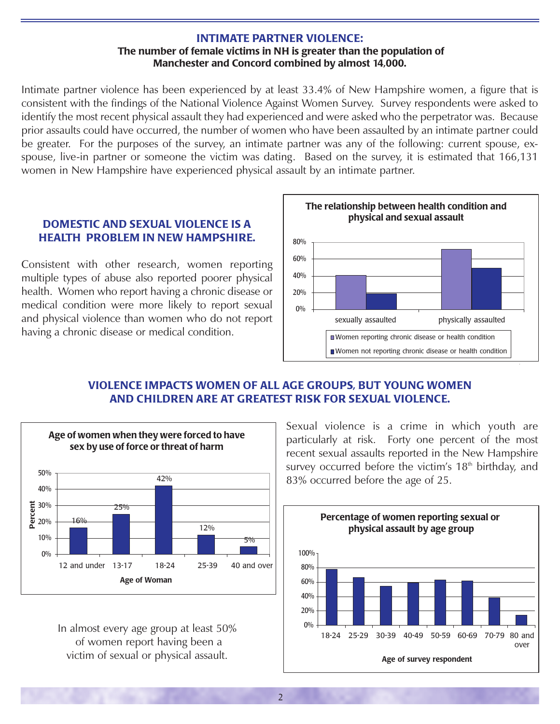#### **INTIMATE PARTNER VIOLENCE: The number of female victims in NH is greater than the population of Manchester and Concord combined by almost 14,000.**

Intimate partner violence has been experienced by at least 33.4% of New Hampshire women, a figure that is consistent with the findings of the National Violence Against Women Survey. Survey respondents were asked to identify the most recent physical assault they had experienced and were asked who the perpetrator was. Because prior assaults could have occurred, the number of women who have been assaulted by an intimate partner could be greater. For the purposes of the survey, an intimate partner was any of the following: current spouse, exspouse, live-in partner or someone the victim was dating. Based on the survey, it is estimated that 166,131 women in New Hampshire have experienced physical assault by an intimate partner.

## **DOMESTIC AND SEXUAL VIOLENCE IS A HEALTH PROBLEM IN NEW HAMPSHIRE.**

Consistent with other research, women reporting multiple types of abuse also reported poorer physical health. Women who report having a chronic disease or medical condition were more likely to report sexual and physical violence than women who do not report having a chronic disease or medical condition.



# **VIOLENCE IMPACTS WOMEN OF ALL AGE GROUPS, BUT YOUNG WOMEN AND CHILDREN ARE AT GREATEST RISK FOR SEXUAL VIOLENCE.**



In almost every age group at least 50% of women report having been a victim of sexual or physical assault.

Sexual violence is a crime in which youth are particularly at risk. Forty one percent of the most recent sexual assaults reported in the New Hampshire survey occurred before the victim's 18<sup>th</sup> birthday, and 83% occurred before the age of 25.

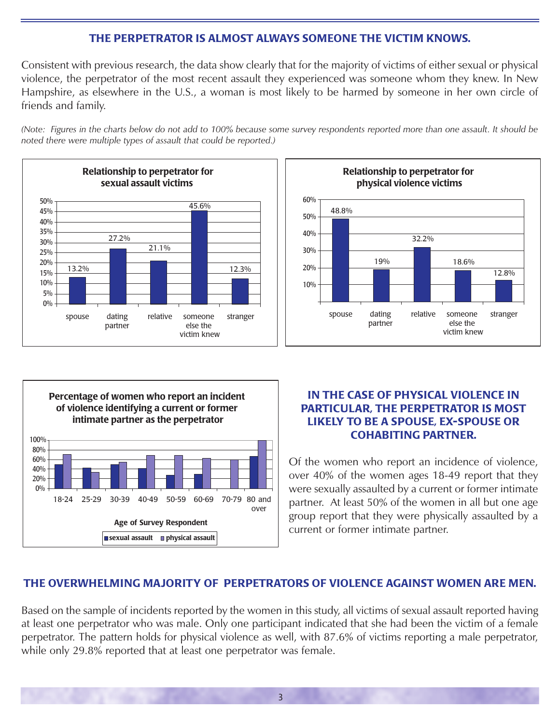## **THE PERPETRATOR IS ALMOST ALWAYS SOMEONE THE VICTIM KNOWS.**

Consistent with previous research, the data show clearly that for the majority of victims of either sexual or physical violence, the perpetrator of the most recent assault they experienced was someone whom they knew. In New Hampshire, as elsewhere in the U.S., a woman is most likely to be harmed by someone in her own circle of friends and family.

*(Note: Figures in the charts below do not add to 100% because some survey respondents reported more than one assault. It should be noted there were multiple types of assault that could be reported.)*







## **IN THE CASE OF PHYSICAL VIOLENCE IN PARTICULAR, THE PERPETRATOR IS MOST LIKELY TO BE A SPOUSE, EX-SPOUSE OR COHABITING PARTNER.**

Of the women who report an incidence of violence, over 40% of the women ages 18-49 report that they were sexually assaulted by a current or former intimate partner. At least 50% of the women in all but one age group report that they were physically assaulted by a current or former intimate partner.

# **THE OVERWHELMING MAJORITY OF PERPETRATORS OF VIOLENCE AGAINST WOMEN ARE MEN.**

Based on the sample of incidents reported by the women in this study, all victims of sexual assault reported having at least one perpetrator who was male. Only one participant indicated that she had been the victim of a female perpetrator. The pattern holds for physical violence as well, with 87.6% of victims reporting a male perpetrator, while only 29.8% reported that at least one perpetrator was female.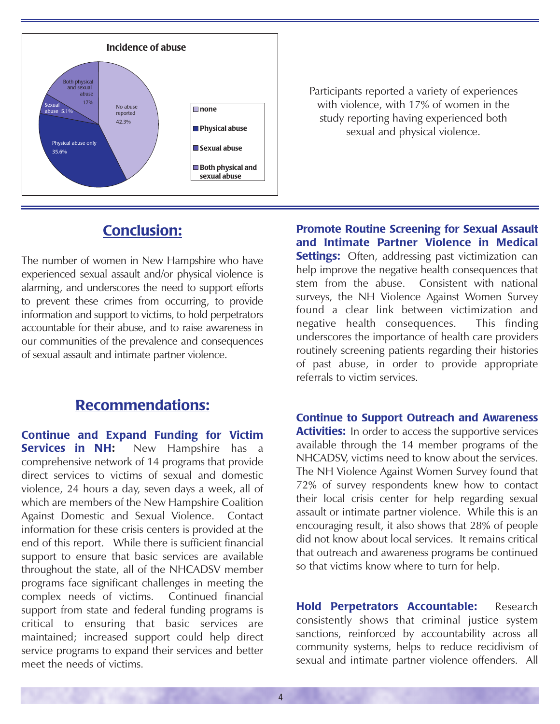

Participants reported a variety of experiences with violence, with 17% of women in the study reporting having experienced both sexual and physical violence.

# **Conclusion:**

The number of women in New Hampshire who have experienced sexual assault and/or physical violence is alarming, and underscores the need to support efforts to prevent these crimes from occurring, to provide information and support to victims, to hold perpetrators accountable for their abuse, and to raise awareness in our communities of the prevalence and consequences of sexual assault and intimate partner violence.

# **Recommendations:**

**Continue and Expand Funding for Victim Services in NH:** New Hampshire has a comprehensive network of 14 programs that provide direct services to victims of sexual and domestic violence, 24 hours a day, seven days a week, all of which are members of the New Hampshire Coalition Against Domestic and Sexual Violence. Contact information for these crisis centers is provided at the end of this report. While there is sufficient financial support to ensure that basic services are available throughout the state, all of the NHCADSV member programs face significant challenges in meeting the complex needs of victims. Continued financial support from state and federal funding programs is critical to ensuring that basic services are maintained; increased support could help direct service programs to expand their services and better meet the needs of victims.

**Promote Routine Screening for Sexual Assault and Intimate Partner Violence in Medical Settings:** Often, addressing past victimization can help improve the negative health consequences that stem from the abuse. Consistent with national surveys, the NH Violence Against Women Survey found a clear link between victimization and negative health consequences. This finding underscores the importance of health care providers routinely screening patients regarding their histories of past abuse, in order to provide appropriate referrals to victim services.

**Continue to Support Outreach and Awareness Activities:** In order to access the supportive services available through the 14 member programs of the NHCADSV, victims need to know about the services. The NH Violence Against Women Survey found that 72% of survey respondents knew how to contact their local crisis center for help regarding sexual assault or intimate partner violence. While this is an encouraging result, it also shows that 28% of people did not know about local services. It remains critical that outreach and awareness programs be continued so that victims know where to turn for help.

**Hold Perpetrators Accountable:** Research consistently shows that criminal justice system sanctions, reinforced by accountability across all community systems, helps to reduce recidivism of sexual and intimate partner violence offenders. All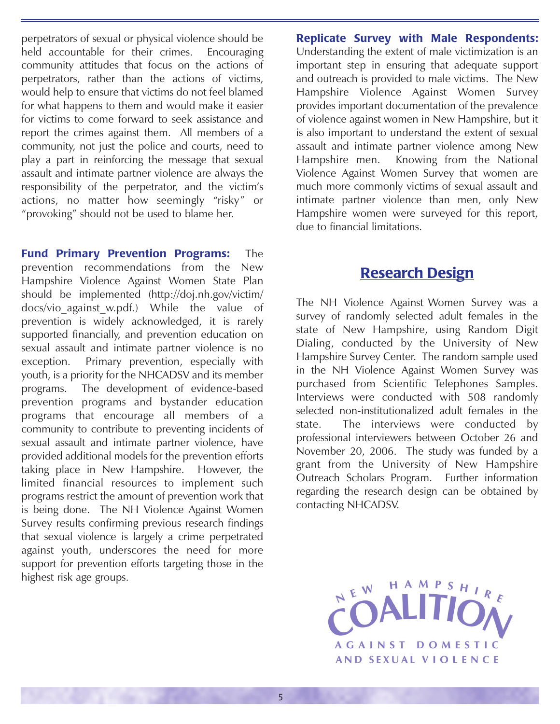perpetrators of sexual or physical violence should be held accountable for their crimes. Encouraging community attitudes that focus on the actions of perpetrators, rather than the actions of victims, would help to ensure that victims do not feel blamed for what happens to them and would make it easier for victims to come forward to seek assistance and report the crimes against them. All members of a community, not just the police and courts, need to play a part in reinforcing the message that sexual assault and intimate partner violence are always the responsibility of the perpetrator, and the victim's actions, no matter how seemingly "risky" or "provoking" should not be used to blame her.

**Fund Primary Prevention Programs:** The prevention recommendations from the New Hampshire Violence Against Women State Plan should be implemented (http://doj.nh.gov/victim/ docs/vio against w.pdf.) While the value of prevention is widely acknowledged, it is rarely supported financially, and prevention education on sexual assault and intimate partner violence is no exception. Primary prevention, especially with youth, is a priority for the NHCADSV and its member programs. The development of evidence-based prevention programs and bystander education programs that encourage all members of a community to contribute to preventing incidents of sexual assault and intimate partner violence, have provided additional models for the prevention efforts taking place in New Hampshire. However, the limited financial resources to implement such programs restrict the amount of prevention work that is being done. The NH Violence Against Women Survey results confirming previous research findings that sexual violence is largely a crime perpetrated against youth, underscores the need for more support for prevention efforts targeting those in the highest risk age groups.

**Replicate Survey with Male Respondents:** Understanding the extent of male victimization is an important step in ensuring that adequate support and outreach is provided to male victims. The New Hampshire Violence Against Women Survey provides important documentation of the prevalence of violence against women in New Hampshire, but it is also important to understand the extent of sexual assault and intimate partner violence among New Hampshire men. Knowing from the National Violence Against Women Survey that women are much more commonly victims of sexual assault and intimate partner violence than men, only New Hampshire women were surveyed for this report, due to financial limitations.

# **Research Design**

The NH Violence Against Women Survey was a survey of randomly selected adult females in the state of New Hampshire, using Random Digit Dialing, conducted by the University of New Hampshire Survey Center. The random sample used in the NH Violence Against Women Survey was purchased from Scientific Telephones Samples. Interviews were conducted with 508 randomly selected non-institutionalized adult females in the state. The interviews were conducted by professional interviewers between October 26 and November 20, 2006. The study was funded by a grant from the University of New Hampshire Outreach Scholars Program. Further information regarding the research design can be obtained by contacting NHCADSV.